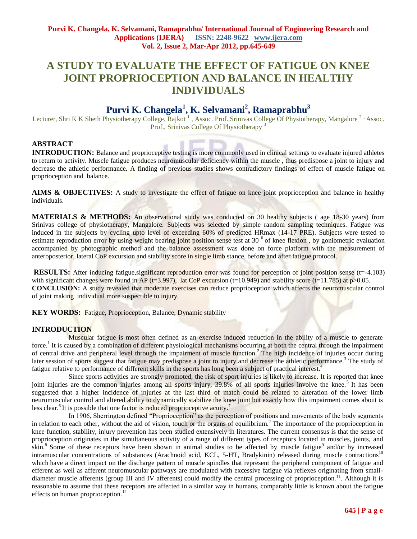# **A STUDY TO EVALUATE THE EFFECT OF FATIGUE ON KNEE JOINT PROPRIOCEPTION AND BALANCE IN HEALTHY INDIVIDUALS**

# **Purvi K. Changela<sup>1</sup> , K. Selvamani<sup>2</sup> , Ramaprabhu<sup>3</sup>**

Lecturer, Shri K K Sheth Physiotherapy College, Rajkot<sup>1</sup>, Assoc. Prof.,Srinivas College Of Physiotherapy, Mangalore<sup>2</sup> Assoc. Prof., Srinivas College Of Physiotherapy<sup>3</sup>

# **ABSTRACT**

**INTRODUCTION:** Balance and proprioceptive testing is more commonly used in clinical settings to evaluate injured athletes to return to activity. Muscle fatigue produces neuromuscular deficiency within the muscle , thus predispose a joint to injury and decrease the athletic performance. A finding of previous studies shows contradictory findings of effect of muscle fatigue on proprioception and balance.

**AIMS & OBJECTIVES:** A study to investigate the effect of fatigue on knee joint proprioception and balance in healthy individuals.

**MATERIALS & METHODS:** An observational study was conducted on 30 healthy subjects (age 18-30 years) from Srinivas college of physiotherapy, Mangalore. Subjects was selected by simple random sampling techniques. Fatigue was induced in the subjects by cycling upto level of exceeding 60% of predicted HRmax (14-17 PRE). Subjects were tested to estimate reproduction error by using weight bearing joint position sense test at 30  $\degree$  of knee flexion, by goniometric evaluation accompanied by photographic method and the balance assessment was done on force platform with the measurement of anteroposterior, lateral CoP excursion and stability score in single limb stance, before and after fatigue protocol.

**RESULTS:** After inducing fatigue, significant reproduction error was found for perception of joint position sense (t=-4.103) with significant changes were found in AP ( $t=3.997$ ), lat CoP excursion ( $t=10.949$ ) and stability score ( $t=11.785$ ) at  $p>0.05$ . **CONCLUSION:** A study revealed that moderate exercises can reduce proprioception which affects the neuromuscular control of joint making individual more suspectible to injury.

**KEY WORDS:** Fatigue, Proprioception, Balance, Dynamic stability

# **INTRODUCTION**

 Muscular fatigue is most often defined as an exercise induced reduction in the ability of a muscle to generate force.<sup>1</sup> It is caused by a combination of different physiological mechanisms occurring at both the central through the impairment of central drive and peripheral level through the impairment of muscle function.<sup>2</sup> The high incidence of injuries occur during later session of sports suggest that fatigue may predispose a joint to injury and decrease the athletic performance.<sup>3</sup> The study of fatigue relative to performance of different skills in the sports has long been a subject of practical interest.<sup>4</sup>

Since sports activities are strongly promoted, the risk of sport injuries is likely to increase. It is reported that knee joint injuries are the common injuries among all sports injury, 39.8% of all sports injuries involve the knee.<sup>5</sup> It has been suggested that a higher incidence of injuries at the last third of match could be related to alteration of the lower limb neuromuscular control and altered ability to dynamically stabilize the knee joint but exactly how this impairment comes about is less clear. <sup>6</sup> It is possible that one factor is reduced proprioceptive acuity.<sup>7</sup>

In 1906, Sherrington defined "Proprioception" as the perception of positions and movements of the body segments in relation to each other, without the aid of vision, touch or the organs of equilibrium.<sup>7</sup> The importance of the proprioception in knee function, stability, injury prevention has been studied extensively in literatures. The current consensus is that the sense of proprioception originates in the simultaneous activity of a range of different types of receptors located in muscles, joints, and skin.<sup>8</sup> Some of these receptors have been shown in animal studies to be affected by muscle fatigue<sup>9</sup> and/or by increased intramuscular concentrations of substances (Arachnoid acid, KCL, 5-HT, Bradykinin) released during muscle contractions<sup>10</sup> which have a direct impact on the discharge pattern of muscle spindles that represent the peripheral component of fatigue and efferent as well as afferent neuromuscular pathways are modulated with excessive fatigue via reflexes originating from smalldiameter muscle afferents (group III and IV afferents) could modify the central processing of proprioception.<sup>11</sup>. Although it is reasonable to assume that these receptors are affected in a similar way in humans, comparably little is known about the fatigue effects on human proprioception.<sup>12</sup>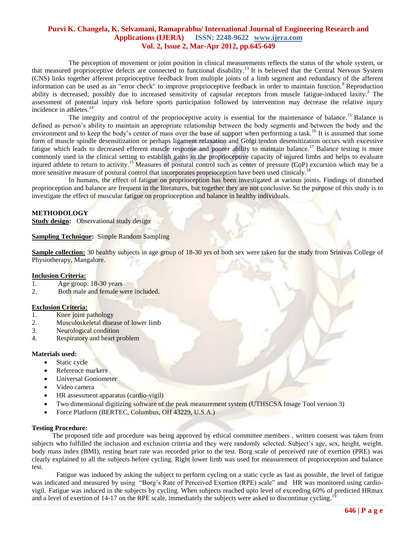The perception of movement or joint position in clinical measurements reflects the status of the whole system, or that measured proprioceptive defects are connected to functional disability.<sup>13</sup> It is believed that the Central Nervous System (CNS) links together afferent proprioceptive feedback from multiple joints of a limb segment and redundancy of the afferent information can be used as an "error check" to improve proprioceptive feedback in order to maintain function.<sup>8</sup> Reproduction ability is decreased; possibly due to increased sensitivity of capsular receptors from muscle fatigue-induced laxity.<sup>3</sup> The assessment of potential injury risk before sports participation followed by intervention may decrease the relative injury incidence in athletes.<sup>14</sup>

The integrity and control of the proprioceptive acuity is essential for the maintenance of balance.<sup>15</sup> Balance is defined as person's ability to maintain an appropriate relationship between the body segments and between the body and the environment and to keep the body's center of mass over the base of support when performing a task.<sup>16</sup> It is assumed that some form of muscle spindle desensitization or perhaps ligament relaxation and Golgi tendon desensitization occurs with excessive fatigue which leads to decreased efferent muscle response and poorer ability to maintain balance.<sup>17</sup> Balance testing is more commonly used in the clinical setting to establish gains in the proprioceptive capacity of injured limbs and helps to evaluate injured athlete to return to activity.<sup>15</sup> Measures of postural control such as center of pressure (CoP) excursion which may be a more sensitive measure of postural control that incorporates proprioception have been used clinicaly.<sup>18</sup>

In humans, the effect of fatigue on proprioception has been investigated at various joints. Findings of disturbed proprioception and balance are frequent in the literatures, but together they are not conclusive. So the purpose of this study is to investigate the effect of muscular fatigue on proprioception and balance in healthy individuals.

# **METHODOLOGY**

**Study design:** Observational study design

## **Sampling Technique:** Simple Random Sampling

**Sample collection:** 30 healthy subjects in age group of 18-30 yrs of both sex were taken for the study from Srinivas College of Physiotherapy, Mangalore.

#### **Inclusion Criteria:**

- 1. Age group: 18-30 years
- 2. Both male and female were included.

## **Exclusion Criteria:**

- 1. Knee joint pathology
- 2. Musculoskeletal disease of lower limb
- 3. Neurological condition
- 4. Respiratory and heart problem

#### **Materials used:**

- Static cycle
- Reference markers
- Universal Goniometer
- Video camera
- $\bullet$  HR assessment apparatus (cardio-vigil)
- Two dimensional digitizing software of the peak measurement system (UTHSCSA Image Tool version 3)
- Force Platform (BERTEC, Columbus, OH 43229, U.S.A.)

#### **Testing Procedure:**

 The proposed title and procedure was being approved by ethical committee members , written consent was taken from subjects who fulfilled the inclusion and exclusion criteria and they were randomly selected. Subject's age, sex, height, weight, body mass index (BMI), resting heart rate was recorded prior to the test. Borg scale of perceived rate of exertion (PRE) was clearly explained to all the subjects before cycling. Right lower limb was used for measurement of proprioception and balance test.

Fatigue was induced by asking the subject to perform cycling on a static cycle as fast as possible, the level of fatigue was indicated and measured by using "Borg's Rate of Perceived Exertion (RPE) scale" and HR was monitored using cardiovigil. Fatigue was induced in the subjects by cycling. When subjects reached upto level of exceeding 60% of predicted HRmax and a level of exertion of 14-17 on the RPE scale, immediately the subjects were asked to discontinue cycling.<sup>19</sup>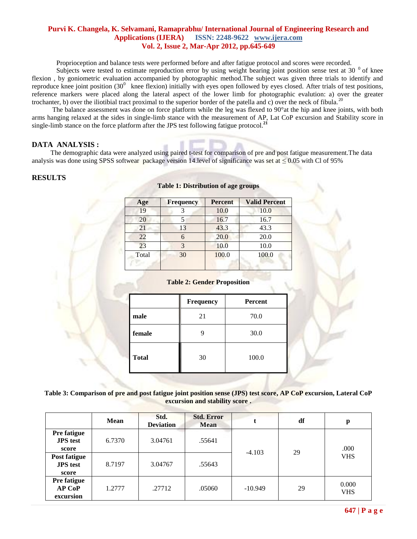Proprioception and balance tests were performed before and after fatigue protocol and scores were recorded.

Subjects were tested to estimate reproduction error by using weight bearing joint position sense test at 30  $\degree$  of knee flexion , by goniometric evaluation accompanied by photographic method.The subject was given three trials to identify and reproduce knee joint position  $(30^0)$  knee flexion) initially with eyes open followed by eyes closed. After trials of test positions, reference markers were placed along the lateral aspect of the lower limb for photographic evalution: a) over the greater trochanter, b) over the iliotibial tract proximal to the superior border of the patella and c) over the neck of fibula.<sup>20</sup>

The balance assessment was done on force platform while the leg was flexed to 90°at the hip and knee joints, with both arms hanging relaxed at the sides in single-limb stance with the measurement of AP, Lat CoP excursion and Stability score in single-limb stance on the force platform after the JPS test following fatigue protocol.**<sup>21</sup>**

# **DATA ANALYSIS :**

The demographic data were analyzed using paired t-test for comparison of pre and post fatigue measurement.The data analysis was done using SPSS softwear package version 14. level of significance was set at  $\leq 0.05$  with Cl of 95%

# **RESULTS**

| <b>Frequency</b> | <b>Percent</b> | <b>Valid Percent</b> |
|------------------|----------------|----------------------|
|                  | 10.0           | 10.0                 |
|                  | 16.7           | 16.7                 |
| 13               | 43.3           | 43.3                 |
|                  | 20.0           | 20.0                 |
| 2                | 10.0           | 10.0                 |
| 30               | 100.0          | 100.0                |
|                  |                |                      |

#### **Table 1: Distribution of age groups**

#### **Table 2: Gender Proposition**

|              | <b>Frequency</b> | <b>Percent</b> |
|--------------|------------------|----------------|
| male         | 21               | 70.0           |
| female       |                  | 30.0           |
| <b>Total</b> | 30               | 100.0          |
|              |                  |                |

**Table 3: Comparison of pre and post fatigue joint position sense (JPS) test score, AP CoP excursion, Lateral CoP excursion and stability score .**

|                                                 | <b>Mean</b> | Std.<br><b>Deviation</b> | <b>Std. Error</b><br><b>Mean</b> |           | df | p                   |
|-------------------------------------------------|-------------|--------------------------|----------------------------------|-----------|----|---------------------|
| <b>Pre fatigue</b><br><b>JPS</b> test<br>score  | 6.7370      | 3.04761                  | .55641                           | $-4.103$  | 29 | .000<br><b>VHS</b>  |
| <b>Post fatigue</b><br><b>JPS</b> test<br>score | 8.7197      | 3.04767                  | .55643                           |           |    |                     |
| Pre fatigue<br><b>AP CoP</b><br>excursion       | 1.2777      | .27712                   | .05060                           | $-10.949$ | 29 | 0.000<br><b>VHS</b> |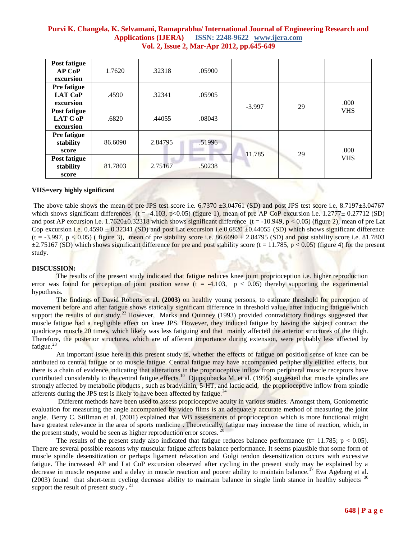| <b>Post fatigue</b><br><b>AP CoP</b><br>excursion | 1.7620  | .32318  | .05900 |          |    |                    |
|---------------------------------------------------|---------|---------|--------|----------|----|--------------------|
| <b>Pre fatigue</b><br><b>LAT CoP</b><br>excursion | .4590   | .32341  | .05905 | $-3.997$ | 29 | .000<br><b>VHS</b> |
| Post fatigue<br>LAT C oP<br>excursion             | .6820   | .44055  | .08043 |          |    |                    |
| <b>Pre fatigue</b><br>stability<br>score          | 86.6090 | 2.84795 | .51996 | 11.785   | 29 | .000<br><b>VHS</b> |
| Post fatigue<br>stability<br>score                | 81.7803 | 2.75167 | .50238 |          |    |                    |

## **VHS=very highly significant**

The above table shows the mean of pre JPS test score i.e.  $6.7370 \pm 3.04761$  (SD) and post JPS test score i.e.  $8.7197 \pm 3.04767$ which shows significant differences (t = -4.103, p<0.05) (figure 1), mean of pre AP CoP excursion i.e. 1.2777 $\pm$  0.27712 (SD) and post AP excursion i.e.  $1.7620 \pm 0.32318$  which shows significant difference (t = -10.949, p < 0.05) (figure 2), mean of pre Lat Cop excursion i.e.  $0.4590 \pm 0.32341$  (SD) and post Lat excursion i.e.0.6820  $\pm 0.44055$  (SD) which shows significant difference  $(t = -3.997, p < 0.05)$  (figure 3), mean of pre stability score i.e. 86.6090  $\pm$  2.84795 (SD) and post stability score i.e. 81.7803  $\pm$ 2.75167 (SD) which shows significant difference for pre and post stability score (t = 11.785, p < 0.05) (figure 4) for the present study.

#### **DISCUSSION:**

The results of the present study indicated that fatigue reduces knee joint proprioception i.e. higher reproduction error was found for perception of joint position sense  $(t = -4.103, p < 0.05)$  thereby supporting the experimental hypothesis.

The findings of David Roberts et al. **(2003)** on healthy young persons, to estimate threshold for perception of movement before and after fatigue shows statically significant difference in threshold value, after inducing fatigue which support the results of our study.<sup>22</sup> However, Marks and Quinney (1993) provided contradictory findings suggested that muscle fatigue had a negligible effect on knee JPS. However, they induced fatigue by having the subject contract the quadriceps muscle 20 times, which likely was less fatiguing and that mainly affected the anterior structures of the thigh. Therefore, the posterior structures, which are of afferent importance during extension, were probably less affected by fatigue. $^{23}$ 

An important issue here in this present study is, whether the effects of fatigue on position sense of knee can be attributed to central fatigue or to muscle fatigue. Central fatigue may have accompanied peripherally elicited effects, but there is a chain of evidence indicating that alterations in the proprioceptive inflow from peripheral muscle receptors have contributed considerably to the central fatigue effects.<sup>10</sup> Djupsjobacka M. et al. (1995) suggested that muscle spindles are strongly affected by metabolic products , such as bradykinin, 5-HT, and lactic acid, the proprioceptive inflow from spindle afferents during the JPS test is likely to have been affected by fatigue.<sup>24</sup>

Different methods have been used to assess proprioceptive acuity in various studies. Amongst them, Goniometric evaluation for measuring the angle accompanied by video films is an adequately accurate method of measuring the joint angle. Berry C. Stillman et al. (2001) explained that WB assessments of proprioception which is more functional might have greatest relevance in the area of sports medicine . Theoretically, fatigue may increase the time of reaction, which, in the present study, would be seen as higher reproduction error scores.

The results of the present study also indicated that fatigue reduces balance performance (t= 11.785;  $p < 0.05$ ). There are several possible reasons why muscular fatigue affects balance performance. It seems plausible that some form of muscle spindle desensitization or perhaps ligament relaxation and Golgi tendon desensitization occurs with excessive fatigue. The increased AP and Lat CoP excursion observed after cycling in the present study may be explained by a decrease in muscle response and a delay in muscle reaction and poorer ability to maintain balance.<sup>17</sup> Eva Ageberg et al.  $(2003)$  found that short-term cycling decrease ability to maintain balance in single limb stance in healthy subjects  $30$ support the result of present study **.**  21